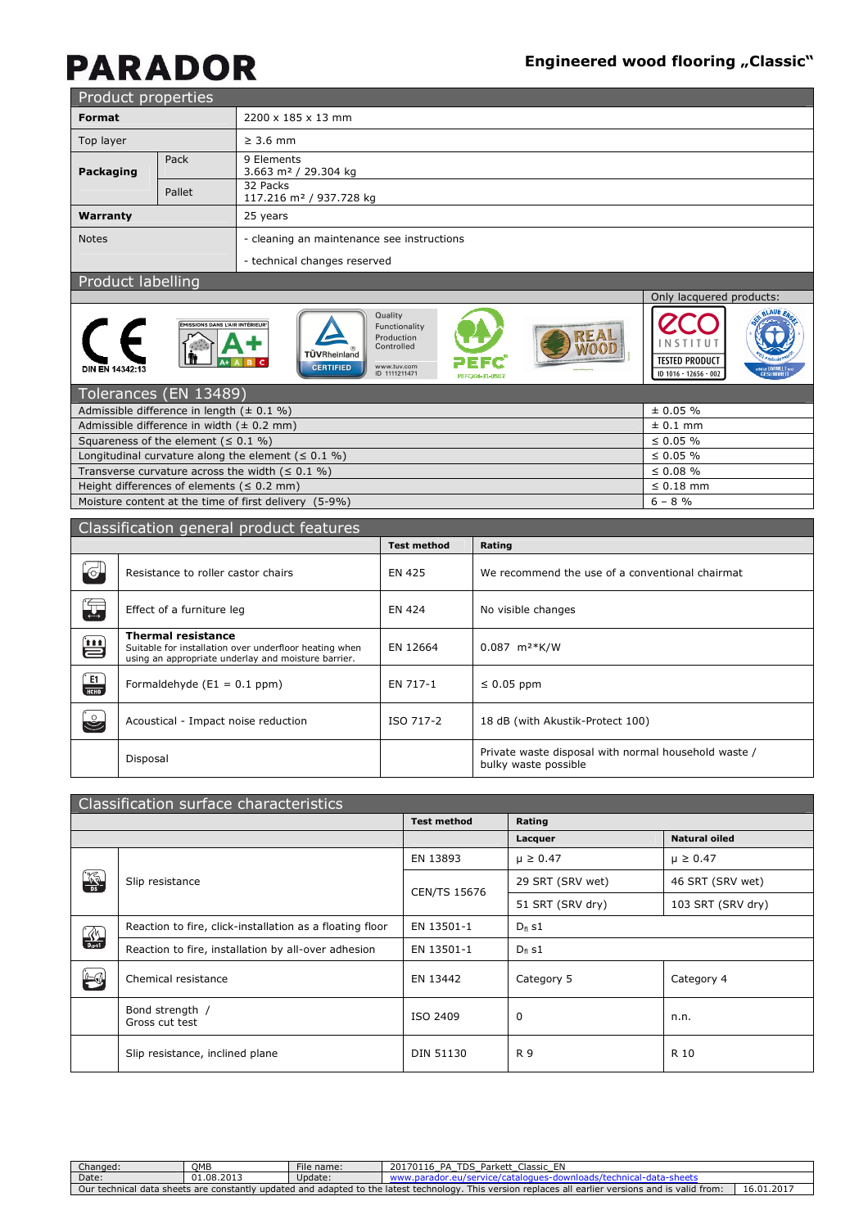Only lacquered products:

IO.

INSTITUT **TESTED PRODUCT** 

ID 1016 - 12656 - 002

**ZC** 

**REAL**<br>WOOD

BLAUE EN

|                          | Product properties |                                                 |  |  |  |  |
|--------------------------|--------------------|-------------------------------------------------|--|--|--|--|
| Format                   |                    | 2200 x 185 x 13 mm                              |  |  |  |  |
| Top layer                |                    | $\geq$ 3.6 mm                                   |  |  |  |  |
| Packaging                | Pack               | 9 Elements<br>3.663 m <sup>2</sup> / 29.304 kg  |  |  |  |  |
|                          | Pallet             | 32 Packs<br>117.216 m <sup>2</sup> / 937.728 kg |  |  |  |  |
| Warranty                 |                    | 25 years                                        |  |  |  |  |
| <b>Notes</b>             |                    | - cleaning an maintenance see instructions      |  |  |  |  |
|                          |                    | - technical changes reserved                    |  |  |  |  |
| <b>Droduct Inholling</b> |                    |                                                 |  |  |  |  |

#### Product labelling

|                 | <b>ÉMISSIONS DANS L'AIR INTÉRIEUR'</b> | TÜVRheinland     | Quality<br>Functionality<br>Production<br>Controlled |                 |
|-----------------|----------------------------------------|------------------|------------------------------------------------------|-----------------|
| DIN EN 14342:13 |                                        | <b>CERTIFIED</b> | www.tuv.com<br>ID 1111211471                         | PEFC/04-31-0507 |
|                 |                                        |                  |                                                      |                 |

| Tolerances (EN 13489)                                    |                |
|----------------------------------------------------------|----------------|
| Admissible difference in length $(± 0.1 %)$              | $\pm 0.05 \%$  |
| Admissible difference in width $(\pm 0.2 \text{ mm})$    | $\pm$ 0.1 mm   |
| Squareness of the element ( $\leq$ 0.1 %)                | $\leq 0.05 \%$ |
| Longitudinal curvature along the element ( $\leq 0.1$ %) | $\leq 0.05 \%$ |
| Transverse curvature across the width ( $\leq 0.1$ %)    | $\leq 0.08 \%$ |
| Height differences of elements ( $\leq 0.2$ mm)          | $\leq 0.18$ mm |
| Moisture content at the time of first delivery (5-9%)    | $6 - 8$ %      |
|                                                          |                |

|                           | Classification general product features                                                                                                    |                    |                                                                              |
|---------------------------|--------------------------------------------------------------------------------------------------------------------------------------------|--------------------|------------------------------------------------------------------------------|
|                           |                                                                                                                                            | <b>Test method</b> | Rating                                                                       |
| $\mathbf{C}$              | Resistance to roller castor chairs                                                                                                         | EN 425             | We recommend the use of a conventional chairmat                              |
| Ţ                         | Effect of a furniture leg                                                                                                                  | EN 424             | No visible changes                                                           |
| Ü                         | <b>Thermal resistance</b><br>Suitable for installation over underfloor heating when<br>using an appropriate underlay and moisture barrier. | EN 12664           | $0.087$ m <sup>2*</sup> K/W                                                  |
| $\frac{1}{\frac{1}{100}}$ | Formaldehyde $(E1 = 0.1$ ppm)                                                                                                              | EN 717-1           | $\leq 0.05$ ppm                                                              |
| $\mathbf{C}$              | Acoustical - Impact noise reduction                                                                                                        | ISO 717-2          | 18 dB (with Akustik-Protect 100)                                             |
|                           | Disposal                                                                                                                                   |                    | Private waste disposal with normal household waste /<br>bulky waste possible |

|               | Classification surface characteristics                   |                     |                  |                      |
|---------------|----------------------------------------------------------|---------------------|------------------|----------------------|
|               |                                                          | <b>Test method</b>  | Rating           |                      |
|               |                                                          |                     | Lacquer          | <b>Natural oiled</b> |
|               |                                                          | EN 13893            | $\mu \ge 0.47$   | $\mu \ge 0.47$       |
| <b>K</b>      | Slip resistance                                          | <b>CEN/TS 15676</b> | 29 SRT (SRV wet) | 46 SRT (SRV wet)     |
|               |                                                          |                     | 51 SRT (SRV dry) | 103 SRT (SRV dry)    |
| $\frac{3}{2}$ | Reaction to fire, click-installation as a floating floor | EN 13501-1          | $D_{fl}$ s1      |                      |
|               | Reaction to fire, installation by all-over adhesion      | EN 13501-1          | $D_{fl}$ s1      |                      |
| $\leftarrow$  | Chemical resistance                                      | EN 13442            | Category 5       | Category 4           |
|               | Bond strength /<br>Gross cut test                        | ISO 2409            | 0                | n.n.                 |
|               | Slip resistance, inclined plane                          | <b>DIN 51130</b>    | R 9              | R 10                 |

| :hanged:         | OMB                            | File name:                       | 201<br>n.<br>TDS<br>Parket<br>Classic<br>4 P                                             |                        |
|------------------|--------------------------------|----------------------------------|------------------------------------------------------------------------------------------|------------------------|
| Date:            | 01.08.2013<br>$^{\sim}$        | Update:                          |                                                                                          |                        |
| Jur<br>technical | i data sheets are constantly . | to the.<br>r updated and adapted | replaces all earlier versions and is valid from:<br>This version<br>: latest technology. | 1.201<br>16.01<br>⊥∪.∪ |
|                  |                                |                                  |                                                                                          |                        |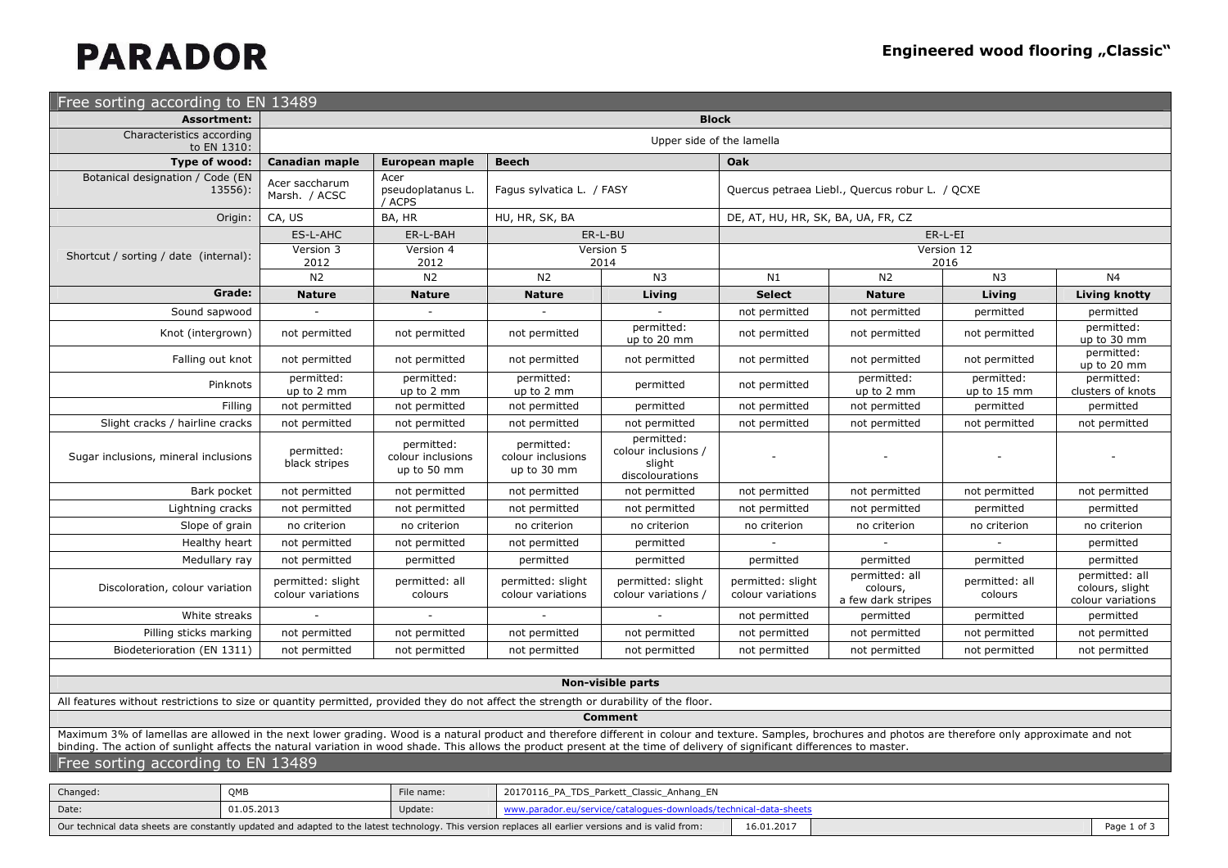| Free sorting according to EN 13489                                                                                                                                                                                                                                                                                                                                                        |                                        |                                                |                                                |                                                                |                                                 |                                                  |                           |                                                        |  |
|-------------------------------------------------------------------------------------------------------------------------------------------------------------------------------------------------------------------------------------------------------------------------------------------------------------------------------------------------------------------------------------------|----------------------------------------|------------------------------------------------|------------------------------------------------|----------------------------------------------------------------|-------------------------------------------------|--------------------------------------------------|---------------------------|--------------------------------------------------------|--|
| <b>Assortment:</b>                                                                                                                                                                                                                                                                                                                                                                        |                                        |                                                |                                                | <b>Block</b>                                                   |                                                 |                                                  |                           |                                                        |  |
| Characteristics according<br>to EN 1310:                                                                                                                                                                                                                                                                                                                                                  | Upper side of the lamella              |                                                |                                                |                                                                |                                                 |                                                  |                           |                                                        |  |
| Type of wood:                                                                                                                                                                                                                                                                                                                                                                             | Canadian maple                         | European maple                                 | <b>Beech</b>                                   |                                                                | Oak                                             |                                                  |                           |                                                        |  |
| Botanical designation / Code (EN<br>13556):                                                                                                                                                                                                                                                                                                                                               | Acer saccharum<br>Marsh. / ACSC        | Acer<br>pseudoplatanus L.<br>/ ACPS            | Fagus sylvatica L. / FASY                      |                                                                | Quercus petraea Liebl., Quercus robur L. / QCXE |                                                  |                           |                                                        |  |
| Origin:                                                                                                                                                                                                                                                                                                                                                                                   | CA, US                                 | BA, HR                                         | HU, HR, SK, BA                                 |                                                                | DE, AT, HU, HR, SK, BA, UA, FR, CZ              |                                                  |                           |                                                        |  |
|                                                                                                                                                                                                                                                                                                                                                                                           | ES-L-AHC                               | ER-L-BAH                                       |                                                | ER-L-BU                                                        |                                                 |                                                  | ER-L-EI                   |                                                        |  |
| Shortcut / sorting / date (internal):                                                                                                                                                                                                                                                                                                                                                     | Version 3<br>2012                      | Version 4<br>2012                              |                                                | Version 5<br>2014                                              |                                                 |                                                  | Version 12<br>2016        |                                                        |  |
|                                                                                                                                                                                                                                                                                                                                                                                           | N2                                     | N <sub>2</sub>                                 | N <sub>2</sub>                                 | N <sub>3</sub>                                                 | N1                                              | N <sub>2</sub>                                   | N <sub>3</sub>            | N4                                                     |  |
| Grade:                                                                                                                                                                                                                                                                                                                                                                                    | <b>Nature</b>                          | <b>Nature</b>                                  | <b>Nature</b>                                  | Living                                                         | <b>Select</b>                                   | <b>Nature</b>                                    | Living                    | Living knotty                                          |  |
| Sound sapwood                                                                                                                                                                                                                                                                                                                                                                             |                                        |                                                |                                                |                                                                | not permitted                                   | not permitted                                    | permitted                 | permitted                                              |  |
| Knot (intergrown)                                                                                                                                                                                                                                                                                                                                                                         | not permitted                          | not permitted                                  | not permitted                                  | permitted:<br>up to 20 mm                                      | not permitted                                   | not permitted                                    | not permitted             | permitted:<br>up to 30 mm                              |  |
| Falling out knot                                                                                                                                                                                                                                                                                                                                                                          | not permitted                          | not permitted                                  | not permitted                                  | not permitted                                                  | not permitted                                   | not permitted                                    | not permitted             | permitted:<br>up to 20 mm                              |  |
| Pinknots                                                                                                                                                                                                                                                                                                                                                                                  | permitted:<br>up to 2 mm               | permitted:<br>up to 2 mm                       | permitted:<br>up to 2 mm                       | permitted                                                      | not permitted                                   | permitted:<br>up to 2 mm                         | permitted:<br>up to 15 mm | permitted:<br>clusters of knots                        |  |
| Filling                                                                                                                                                                                                                                                                                                                                                                                   | not permitted                          | not permitted                                  | not permitted                                  | permitted                                                      | not permitted                                   | not permitted                                    | permitted                 | permitted                                              |  |
| Slight cracks / hairline cracks                                                                                                                                                                                                                                                                                                                                                           | not permitted                          | not permitted                                  | not permitted                                  | not permitted                                                  | not permitted                                   | not permitted                                    | not permitted             | not permitted                                          |  |
| Sugar inclusions, mineral inclusions                                                                                                                                                                                                                                                                                                                                                      | permitted:<br>black stripes            | permitted:<br>colour inclusions<br>up to 50 mm | permitted:<br>colour inclusions<br>up to 30 mm | permitted:<br>colour inclusions /<br>slight<br>discolourations |                                                 |                                                  |                           |                                                        |  |
| Bark pocket                                                                                                                                                                                                                                                                                                                                                                               | not permitted                          | not permitted                                  | not permitted                                  | not permitted                                                  | not permitted                                   | not permitted                                    | not permitted             | not permitted                                          |  |
| Lightning cracks                                                                                                                                                                                                                                                                                                                                                                          | not permitted                          | not permitted                                  | not permitted                                  | not permitted                                                  | not permitted                                   | not permitted                                    | permitted                 | permitted                                              |  |
| Slope of grain                                                                                                                                                                                                                                                                                                                                                                            | no criterion                           | no criterion                                   | no criterion                                   | no criterion                                                   | no criterion                                    | no criterion                                     | no criterion              | no criterion                                           |  |
| Healthy heart                                                                                                                                                                                                                                                                                                                                                                             | not permitted                          | not permitted                                  | not permitted                                  | permitted                                                      |                                                 |                                                  |                           | permitted                                              |  |
| Medullary ray                                                                                                                                                                                                                                                                                                                                                                             | not permitted                          | permitted                                      | permitted                                      | permitted                                                      | permitted                                       | permitted                                        | permitted                 | permitted                                              |  |
| Discoloration, colour variation                                                                                                                                                                                                                                                                                                                                                           | permitted: slight<br>colour variations | permitted: all<br>colours                      | permitted: slight<br>colour variations         | permitted: slight<br>colour variations /                       | permitted: slight<br>colour variations          | permitted: all<br>colours,<br>a few dark stripes | permitted: all<br>colours | permitted: all<br>colours, slight<br>colour variations |  |
| White streaks                                                                                                                                                                                                                                                                                                                                                                             |                                        |                                                |                                                |                                                                | not permitted                                   | permitted                                        | permitted                 | permitted                                              |  |
| Pilling sticks marking                                                                                                                                                                                                                                                                                                                                                                    | not permitted                          | not permitted                                  | not permitted                                  | not permitted                                                  | not permitted                                   | not permitted                                    | not permitted             | not permitted                                          |  |
| Biodeterioration (EN 1311)                                                                                                                                                                                                                                                                                                                                                                | not permitted                          | not permitted                                  | not permitted                                  | not permitted                                                  | not permitted                                   | not permitted                                    | not permitted             | not permitted                                          |  |
|                                                                                                                                                                                                                                                                                                                                                                                           |                                        |                                                |                                                |                                                                |                                                 |                                                  |                           |                                                        |  |
|                                                                                                                                                                                                                                                                                                                                                                                           |                                        |                                                |                                                | <b>Non-visible parts</b>                                       |                                                 |                                                  |                           |                                                        |  |
| All features without restrictions to size or quantity permitted, provided they do not affect the strength or durability of the floor.                                                                                                                                                                                                                                                     |                                        |                                                |                                                |                                                                |                                                 |                                                  |                           |                                                        |  |
|                                                                                                                                                                                                                                                                                                                                                                                           |                                        |                                                |                                                | <b>Comment</b>                                                 |                                                 |                                                  |                           |                                                        |  |
| Maximum 3% of lamellas are allowed in the next lower grading. Wood is a natural product and therefore different in colour and texture. Samples, brochures and photos are therefore only approximate and not<br>binding. The action of sunlight affects the natural variation in wood shade. This allows the product present at the time of delivery of significant differences to master. |                                        |                                                |                                                |                                                                |                                                 |                                                  |                           |                                                        |  |

### Free sorting according to EN 13489

| Changed: | OME        | File name: | 20170116 PA TDS Parkett Classic Anhang EN                                                                                                            |            |  |      |
|----------|------------|------------|------------------------------------------------------------------------------------------------------------------------------------------------------|------------|--|------|
| Date:    | 01.05.2013 | Update:    | www.parador.eu/service/catalogues-downloads/technical-data-sheets                                                                                    |            |  |      |
|          |            |            | Our technical data sheets are constantly updated and adapted to the latest technology. This version replaces all earlier versions and is valid from: | 16.01.2017 |  | Page |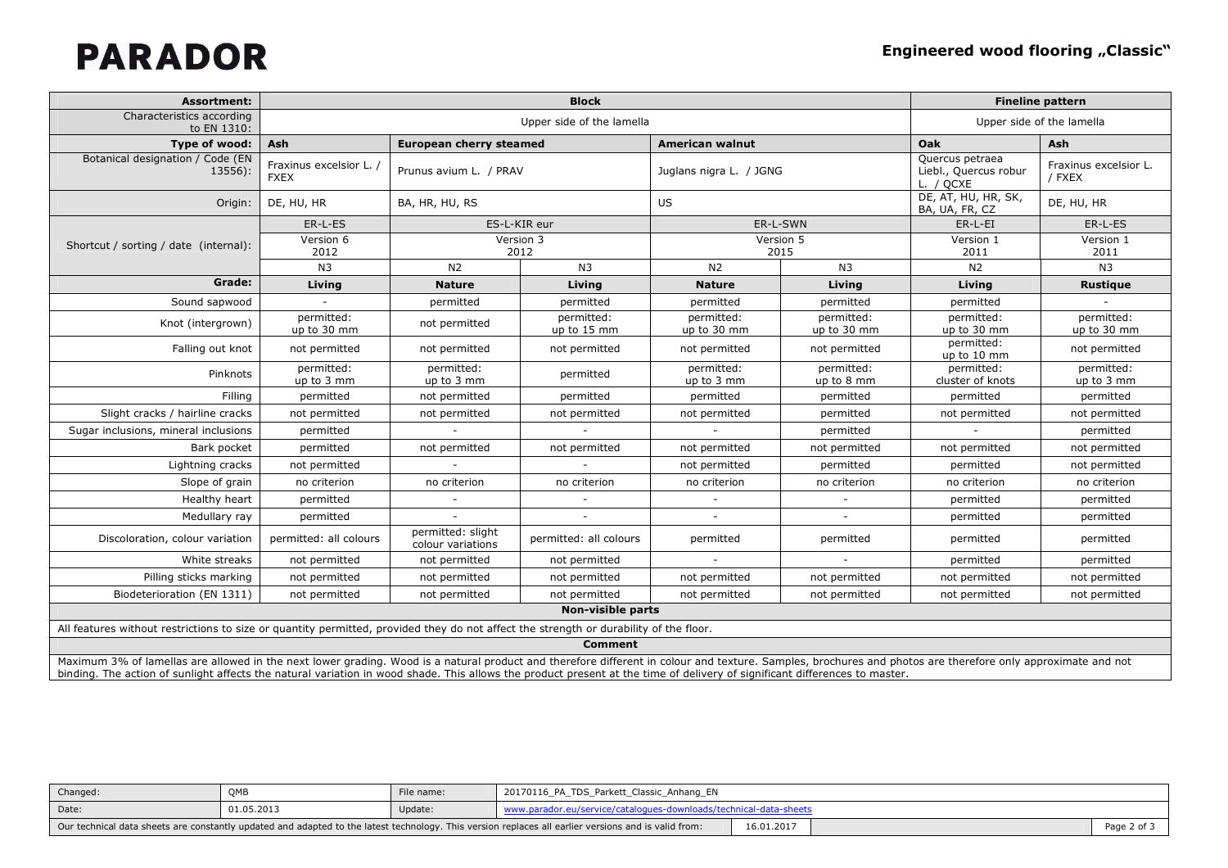| <b>Assortment:</b>                                                                                                                    |                                      |                                        |                           | <b>Fineline pattern</b>   |                           |                                                       |                                 |
|---------------------------------------------------------------------------------------------------------------------------------------|--------------------------------------|----------------------------------------|---------------------------|---------------------------|---------------------------|-------------------------------------------------------|---------------------------------|
| Characteristics according<br>to EN 1310:                                                                                              |                                      |                                        |                           | Upper side of the lamella |                           |                                                       |                                 |
| Type of wood:                                                                                                                         | Ash                                  | <b>European cherry steamed</b>         |                           | <b>American walnut</b>    |                           | Oak                                                   | <b>Ash</b>                      |
| Botanical designation / Code (EN<br>$13556$ :                                                                                         | Fraxinus excelsior L.<br><b>FXEX</b> | Prunus avium L. / PRAV                 |                           | Juglans nigra L. / JGNG   |                           | Quercus petraea<br>Liebl., Quercus robur<br>L. / QCXE | Fraxinus excelsior L.<br>/ FXEX |
| Origin:                                                                                                                               | DE, HU, HR                           | BA, HR, HU, RS                         |                           | <b>US</b>                 |                           | DE, AT, HU, HR, SK,<br>BA, UA, FR, CZ                 | DE, HU, HR                      |
|                                                                                                                                       | ER-L-ES                              |                                        | ES-L-KIR eur              |                           | ER-L-SWN                  | ER-L-EI                                               | ER-L-ES                         |
| Shortcut / sorting / date (internal):                                                                                                 | Version 6<br>2012                    |                                        | Version 3<br>2012         |                           | Version 5<br>2015         | Version 1<br>2011                                     | Version 1<br>2011               |
|                                                                                                                                       | N <sub>3</sub>                       | N <sub>2</sub>                         | N <sub>3</sub>            | N <sub>2</sub>            | N <sub>3</sub>            | N2                                                    | N <sub>3</sub>                  |
| Grade:                                                                                                                                | Living                               | <b>Nature</b>                          | Living                    | <b>Nature</b>             | Living                    | Living                                                | Rustique                        |
| Sound sapwood                                                                                                                         |                                      | permitted                              | permitted                 | permitted                 | permitted                 | permitted                                             |                                 |
| Knot (intergrown)                                                                                                                     | permitted:<br>up to 30 mm            | not permitted                          | permitted:<br>up to 15 mm | permitted:<br>up to 30 mm | permitted:<br>up to 30 mm | permitted:<br>up to 30 mm                             | permitted:<br>up to 30 mm       |
| Falling out knot                                                                                                                      | not permitted                        | not permitted                          | not permitted             | not permitted             | not permitted             | permitted:<br>up to 10 mm                             | not permitted                   |
| Pinknots                                                                                                                              | permitted:<br>up to 3 mm             | permitted:<br>up to 3 mm               | permitted                 | permitted:<br>up to 3 mm  | permitted:<br>up to 8 mm  | permitted:<br>cluster of knots                        | permitted:<br>up to 3 mm        |
| Filling                                                                                                                               | permitted                            | not permitted                          | permitted                 | permitted                 | permitted                 | permitted                                             | permitted                       |
| Slight cracks / hairline cracks                                                                                                       | not permitted                        | not permitted                          | not permitted             | not permitted             | permitted                 | not permitted                                         | not permitted                   |
| Sugar inclusions, mineral inclusions                                                                                                  | permitted                            |                                        |                           |                           | permitted                 |                                                       | permitted                       |
| Bark pocket                                                                                                                           | permitted                            | not permitted                          | not permitted             | not permitted             | not permitted             | not permitted                                         | not permitted                   |
| Lightning cracks                                                                                                                      | not permitted                        |                                        |                           | not permitted             | permitted                 | permitted                                             | not permitted                   |
| Slope of grain                                                                                                                        | no criterion                         | no criterion                           | no criterion              | no criterion              | no criterion              | no criterion                                          | no criterion                    |
| Healthy heart                                                                                                                         | permitted                            | $\sim$                                 | $\sim$                    | $\sim$                    | $\sim$                    | permitted                                             | permitted                       |
| Medullary ray                                                                                                                         | permitted                            |                                        |                           |                           |                           | permitted                                             | permitted                       |
| Discoloration, colour variation                                                                                                       | permitted: all colours               | permitted: slight<br>colour variations | permitted: all colours    | permitted                 | permitted                 | permitted                                             | permitted                       |
| White streaks                                                                                                                         | not permitted                        | not permitted                          | not permitted             | $\sim$                    | $\sim$                    | permitted                                             | permitted                       |
| Pilling sticks marking                                                                                                                | not permitted                        | not permitted                          | not permitted             | not permitted             | not permitted             | not permitted                                         | not permitted                   |
| Biodeterioration (EN 1311)                                                                                                            | not permitted                        | not permitted                          | not permitted             | not permitted             | not permitted             | not permitted                                         | not permitted                   |
|                                                                                                                                       |                                      |                                        | Non-visible parts         |                           |                           |                                                       |                                 |
| All features without restrictions to size or quantity permitted, provided they do not affect the strength or durability of the floor. |                                      |                                        |                           |                           |                           |                                                       |                                 |
|                                                                                                                                       |                                      |                                        | <b>Comment</b>            |                           |                           |                                                       |                                 |

Maximum 3% of lamellas are allowed in the next lower grading. Wood is a natural product and therefore different in colour and texture. Samples, brochures and photos are therefore only approximate and not<br>binding. The actio

| Changed: | OMB        | File name: | 20170116_PA_TDS_Parkett_Classic_Anhang_EN                                                                                                            |            |  |  |
|----------|------------|------------|------------------------------------------------------------------------------------------------------------------------------------------------------|------------|--|--|
| Date:    | 01.05.2013 | Update:    | www.parador.eu/service/catalogues-downloads/technical-data-sheets                                                                                    |            |  |  |
|          |            |            | Our technical data sheets are constantly updated and adapted to the latest technology. This version replaces all earlier versions and is valid from: | 16.01.2017 |  |  |